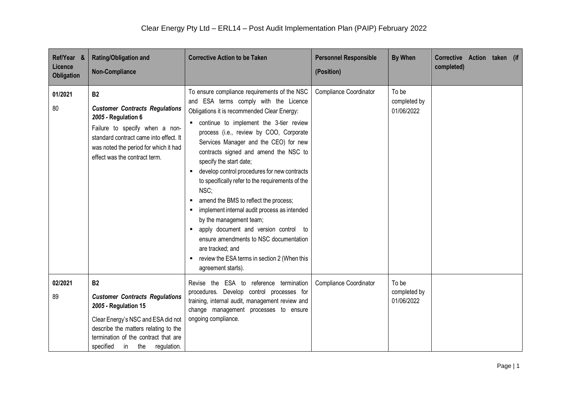| Ref/Year &<br>Licence<br>Obligation | <b>Rating/Obligation and</b><br><b>Non-Compliance</b>                                                                                                                                                                            | <b>Corrective Action to be Taken</b>                                                                                                                                                                                                                                                                                                                                                                                                                                                                                                                                                                                                                                                                                                                                        | <b>Personnel Responsible</b><br>(Position) | <b>By When</b>                      | Corrective Action taken (if<br>completed) |
|-------------------------------------|----------------------------------------------------------------------------------------------------------------------------------------------------------------------------------------------------------------------------------|-----------------------------------------------------------------------------------------------------------------------------------------------------------------------------------------------------------------------------------------------------------------------------------------------------------------------------------------------------------------------------------------------------------------------------------------------------------------------------------------------------------------------------------------------------------------------------------------------------------------------------------------------------------------------------------------------------------------------------------------------------------------------------|--------------------------------------------|-------------------------------------|-------------------------------------------|
| 01/2021<br>80                       | <b>B2</b><br><b>Customer Contracts Regulations</b><br>2005 - Regulation 6<br>Failure to specify when a non-<br>standard contract came into effect. It<br>was noted the period for which it had<br>effect was the contract term.  | To ensure compliance requirements of the NSC<br>and ESA terms comply with the Licence<br>Obligations it is recommended Clear Energy:<br>continue to implement the 3-tier review<br>process (i.e., review by COO, Corporate<br>Services Manager and the CEO) for new<br>contracts signed and amend the NSC to<br>specify the start date;<br>develop control procedures for new contracts<br>to specifically refer to the requirements of the<br>NSC:<br>amend the BMS to reflect the process;<br>п<br>implement internal audit process as intended<br>by the management team;<br>apply document and version control to<br>$\blacksquare$<br>ensure amendments to NSC documentation<br>are tracked; and<br>review the ESA terms in section 2 (When this<br>agreement starts). | <b>Compliance Coordinator</b>              | To be<br>completed by<br>01/06/2022 |                                           |
| 02/2021<br>89                       | <b>B2</b><br><b>Customer Contracts Regulations</b><br>2005 - Regulation 15<br>Clear Energy's NSC and ESA did not<br>describe the matters relating to the<br>termination of the contract that are<br>specified in the regulation. | Revise the ESA to reference termination<br>procedures. Develop control processes for<br>training, internal audit, management review and<br>change management processes to ensure<br>ongoing compliance.                                                                                                                                                                                                                                                                                                                                                                                                                                                                                                                                                                     | <b>Compliance Coordinator</b>              | To be<br>completed by<br>01/06/2022 |                                           |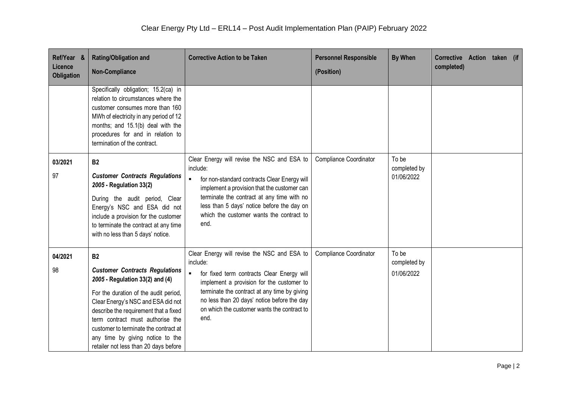| Ref/Year &<br>Licence<br><b>Obligation</b> | <b>Rating/Obligation and</b><br><b>Non-Compliance</b>                                                                                                                                                                                                                                                                                                                   | <b>Corrective Action to be Taken</b>                                                                                                                                                                                                                                                                                       | <b>Personnel Responsible</b><br>(Position) | <b>By When</b>                      | Corrective Action taken (if<br>completed) |
|--------------------------------------------|-------------------------------------------------------------------------------------------------------------------------------------------------------------------------------------------------------------------------------------------------------------------------------------------------------------------------------------------------------------------------|----------------------------------------------------------------------------------------------------------------------------------------------------------------------------------------------------------------------------------------------------------------------------------------------------------------------------|--------------------------------------------|-------------------------------------|-------------------------------------------|
|                                            | Specifically obligation; 15.2(ca) in<br>relation to circumstances where the<br>customer consumes more than 160<br>MWh of electricity in any period of 12<br>months; and 15.1(b) deal with the<br>procedures for and in relation to<br>termination of the contract.                                                                                                      |                                                                                                                                                                                                                                                                                                                            |                                            |                                     |                                           |
| 03/2021<br>97                              | <b>B2</b><br><b>Customer Contracts Regulations</b><br>2005 - Regulation 33(2)<br>During the audit period, Clear<br>Energy's NSC and ESA did not<br>include a provision for the customer<br>to terminate the contract at any time<br>with no less than 5 days' notice.                                                                                                   | Clear Energy will revise the NSC and ESA to<br>include:<br>$\blacksquare$<br>for non-standard contracts Clear Energy will<br>implement a provision that the customer can<br>terminate the contract at any time with no<br>less than 5 days' notice before the day on<br>which the customer wants the contract to<br>end.   | Compliance Coordinator                     | To be<br>completed by<br>01/06/2022 |                                           |
| 04/2021<br>98                              | <b>B2</b><br><b>Customer Contracts Regulations</b><br>2005 - Regulation 33(2) and (4)<br>For the duration of the audit period,<br>Clear Energy's NSC and ESA did not<br>describe the requirement that a fixed<br>term contract must authorise the<br>customer to terminate the contract at<br>any time by giving notice to the<br>retailer not less than 20 days before | Clear Energy will revise the NSC and ESA to<br>include:<br>$\blacksquare$<br>for fixed term contracts Clear Energy will<br>implement a provision for the customer to<br>terminate the contract at any time by giving<br>no less than 20 days' notice before the day<br>on which the customer wants the contract to<br>end. | Compliance Coordinator                     | To be<br>completed by<br>01/06/2022 |                                           |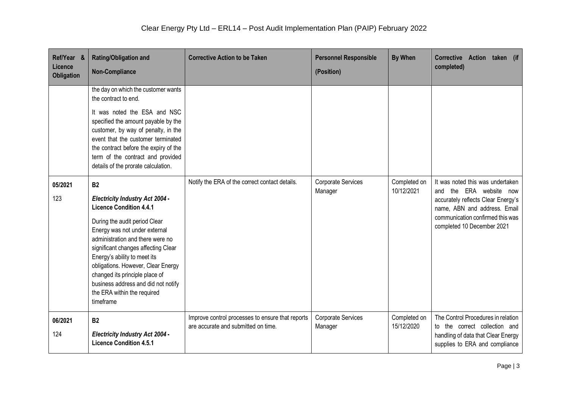| Ref/Year &<br>Licence<br><b>Obligation</b> | <b>Rating/Obligation and</b><br><b>Non-Compliance</b>                                                                                                                                                                                                                                                                                                                                                                         | <b>Corrective Action to be Taken</b>                                                    | <b>Personnel Responsible</b><br>(Position) | <b>By When</b>             | Corrective Action taken (if<br>completed)                                                                                                                                                           |
|--------------------------------------------|-------------------------------------------------------------------------------------------------------------------------------------------------------------------------------------------------------------------------------------------------------------------------------------------------------------------------------------------------------------------------------------------------------------------------------|-----------------------------------------------------------------------------------------|--------------------------------------------|----------------------------|-----------------------------------------------------------------------------------------------------------------------------------------------------------------------------------------------------|
|                                            | the day on which the customer wants<br>the contract to end.<br>It was noted the ESA and NSC<br>specified the amount payable by the<br>customer, by way of penalty, in the<br>event that the customer terminated<br>the contract before the expiry of the<br>term of the contract and provided<br>details of the prorate calculation.                                                                                          |                                                                                         |                                            |                            |                                                                                                                                                                                                     |
| 05/2021<br>123                             | <b>B2</b><br><b>Electricity Industry Act 2004 -</b><br><b>Licence Condition 4.4.1</b><br>During the audit period Clear<br>Energy was not under external<br>administration and there were no<br>significant changes affecting Clear<br>Energy's ability to meet its<br>obligations. However, Clear Energy<br>changed its principle place of<br>business address and did not notify<br>the ERA within the required<br>timeframe | Notify the ERA of the correct contact details.                                          | Corporate Services<br>Manager              | Completed on<br>10/12/2021 | It was noted this was undertaken<br>and the ERA website now<br>accurately reflects Clear Energy's<br>name, ABN and address. Email<br>communication confirmed this was<br>completed 10 December 2021 |
| 06/2021<br>124                             | <b>B2</b><br><b>Electricity Industry Act 2004 -</b><br><b>Licence Condition 4.5.1</b>                                                                                                                                                                                                                                                                                                                                         | Improve control processes to ensure that reports<br>are accurate and submitted on time. | Corporate Services<br>Manager              | Completed on<br>15/12/2020 | The Control Procedures in relation<br>to the correct collection and<br>handling of data that Clear Energy<br>supplies to ERA and compliance                                                         |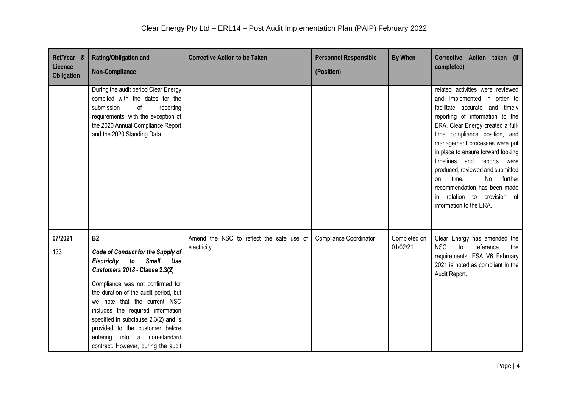| Ref/Year &<br>Licence<br><b>Obligation</b> | <b>Rating/Obligation and</b><br><b>Non-Compliance</b>                                                                                                                                                                                                                                                                                                                                                                                             | <b>Corrective Action to be Taken</b>                     | <b>Personnel Responsible</b><br>(Position) | <b>By When</b>           | Corrective Action taken (if<br>completed)                                                                                                                                                                                                                                                                                                                                                                                                                                         |
|--------------------------------------------|---------------------------------------------------------------------------------------------------------------------------------------------------------------------------------------------------------------------------------------------------------------------------------------------------------------------------------------------------------------------------------------------------------------------------------------------------|----------------------------------------------------------|--------------------------------------------|--------------------------|-----------------------------------------------------------------------------------------------------------------------------------------------------------------------------------------------------------------------------------------------------------------------------------------------------------------------------------------------------------------------------------------------------------------------------------------------------------------------------------|
|                                            | During the audit period Clear Energy<br>complied with the dates for the<br>submission<br>of<br>reporting<br>requirements, with the exception of<br>the 2020 Annual Compliance Report<br>and the 2020 Standing Data.                                                                                                                                                                                                                               |                                                          |                                            |                          | related activities were reviewed<br>and implemented in order to<br>facilitate accurate and timely<br>reporting of information to the<br>ERA. Clear Energy created a full-<br>time compliance position, and<br>management processes were put<br>in place to ensure forward looking<br>timelines and reports were<br>produced, reviewed and submitted<br>No<br>further<br>time.<br>on<br>recommendation has been made<br>relation to provision of<br>in.<br>information to the ERA. |
| 07/2021<br>133                             | <b>B2</b><br>Code of Conduct for the Supply of<br><b>Electricity</b><br>to<br><b>Small</b><br>Use<br><b>Customers 2018 - Clause 2.3(2)</b><br>Compliance was not confirmed for<br>the duration of the audit period, but<br>we note that the current NSC<br>includes the required information<br>specified in subclause 2.3(2) and is<br>provided to the customer before<br>entering<br>into a non-standard<br>contract. However, during the audit | Amend the NSC to reflect the safe use of<br>electricity. | <b>Compliance Coordinator</b>              | Completed on<br>01/02/21 | Clear Energy has amended the<br><b>NSC</b><br>to<br>reference<br>the<br>requirements. ESA V6 February<br>2021 is noted as compliant in the<br>Audit Report.                                                                                                                                                                                                                                                                                                                       |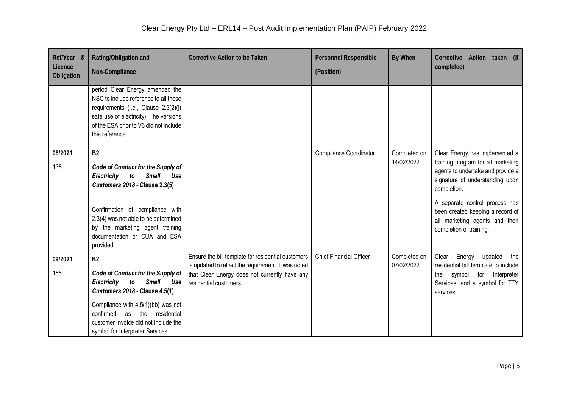| Ref/Year &<br>Licence<br>Obligation | <b>Rating/Obligation and</b><br><b>Non-Compliance</b>                                                                                                                                                                                                                                       | <b>Corrective Action to be Taken</b>                                                                                                                                                 | <b>Personnel Responsible</b><br>(Position) | <b>By When</b>             | Corrective Action taken (if<br>completed)                                                                                                                                                                                                                                                      |
|-------------------------------------|---------------------------------------------------------------------------------------------------------------------------------------------------------------------------------------------------------------------------------------------------------------------------------------------|--------------------------------------------------------------------------------------------------------------------------------------------------------------------------------------|--------------------------------------------|----------------------------|------------------------------------------------------------------------------------------------------------------------------------------------------------------------------------------------------------------------------------------------------------------------------------------------|
|                                     | period Clear Energy amended the<br>NSC to include reference to all these<br>requirements (i.e., Clause 2.3(2)(j)<br>safe use of electricity). The versions<br>of the ESA prior to V6 did not include<br>this reference.                                                                     |                                                                                                                                                                                      |                                            |                            |                                                                                                                                                                                                                                                                                                |
| 08/2021<br>135                      | <b>B2</b><br>Code of Conduct for the Supply of<br>Electricity to<br><b>Small</b><br>Use<br><b>Customers 2018 - Clause 2.3(5)</b><br>Confirmation of compliance with<br>2.3(4) was not able to be determined<br>by the marketing agent training<br>documentation or CUA and ESA<br>provided. |                                                                                                                                                                                      | <b>Compliance Coordinator</b>              | Completed on<br>14/02/2022 | Clear Energy has implemented a<br>training program for all marketing<br>agents to undertake and provide a<br>signature of understanding upon<br>completion.<br>A separate control process has<br>been created keeping a record of<br>all marketing agents and their<br>completion of training. |
| 09/2021<br>155                      | <b>B2</b><br>Code of Conduct for the Supply of<br>Electricity<br><b>Small</b><br>to<br>Use<br><b>Customers 2018 - Clause 4.5(1)</b><br>Compliance with $4.5(1)(bb)$ was not<br>confirmed<br>as the residential<br>customer invoice did not include the<br>symbol for Interpreter Services.  | Ensure the bill template for residential customers<br>is updated to reflect the requirement. It was noted<br>that Clear Energy does not currently have any<br>residential customers. | <b>Chief Financial Officer</b>             | Completed on<br>07/02/2022 | Clear<br>Energy updated<br>the<br>residential bill template to include<br>symbol for Interpreter<br>the<br>Services, and a symbol for TTY<br>services.                                                                                                                                         |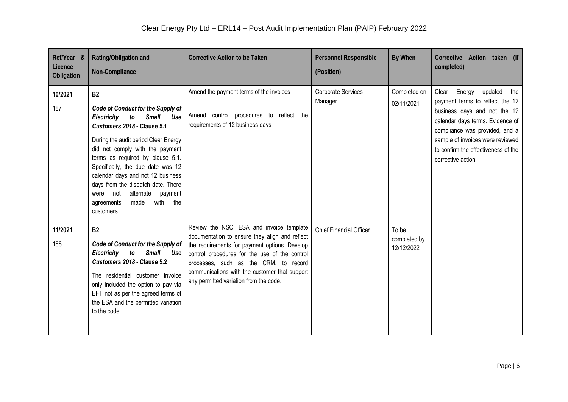| Ref/Year &<br>Licence<br>Obligation | <b>Rating/Obligation and</b><br><b>Non-Compliance</b>                                                                                                                                                                                                                                                                                                                                                                                        | <b>Corrective Action to be Taken</b>                                                                                                                                                                                                                                                                                             | <b>Personnel Responsible</b><br>(Position) | <b>By When</b>                      | Corrective Action taken (if<br>completed)                                                                                                                                                                                                                            |
|-------------------------------------|----------------------------------------------------------------------------------------------------------------------------------------------------------------------------------------------------------------------------------------------------------------------------------------------------------------------------------------------------------------------------------------------------------------------------------------------|----------------------------------------------------------------------------------------------------------------------------------------------------------------------------------------------------------------------------------------------------------------------------------------------------------------------------------|--------------------------------------------|-------------------------------------|----------------------------------------------------------------------------------------------------------------------------------------------------------------------------------------------------------------------------------------------------------------------|
| 10/2021<br>187                      | <b>B2</b><br>Code of Conduct for the Supply of<br>Electricity to<br><b>Small</b><br>Use<br>Customers 2018 - Clause 5.1<br>During the audit period Clear Energy<br>did not comply with the payment<br>terms as required by clause 5.1.<br>Specifically, the due date was 12<br>calendar days and not 12 business<br>days from the dispatch date. There<br>were not<br>alternate<br>payment<br>made<br>with<br>the<br>agreements<br>customers. | Amend the payment terms of the invoices<br>Amend control procedures to reflect the<br>requirements of 12 business days.                                                                                                                                                                                                          | Corporate Services<br>Manager              | Completed on<br>02/11/2021          | Clear Energy updated<br>the<br>payment terms to reflect the 12<br>business days and not the 12<br>calendar days terms. Evidence of<br>compliance was provided, and a<br>sample of invoices were reviewed<br>to confirm the effectiveness of the<br>corrective action |
| 11/2021<br>188                      | <b>B2</b><br>Code of Conduct for the Supply of<br>Electricity to<br>Small<br>Use<br>Customers 2018 - Clause 5.2<br>The residential customer invoice<br>only included the option to pay via<br>EFT not as per the agreed terms of<br>the ESA and the permitted variation<br>to the code.                                                                                                                                                      | Review the NSC, ESA and invoice template<br>documentation to ensure they align and reflect<br>the requirements for payment options. Develop<br>control procedures for the use of the control<br>processes, such as the CRM, to record<br>communications with the customer that support<br>any permitted variation from the code. | <b>Chief Financial Officer</b>             | To be<br>completed by<br>12/12/2022 |                                                                                                                                                                                                                                                                      |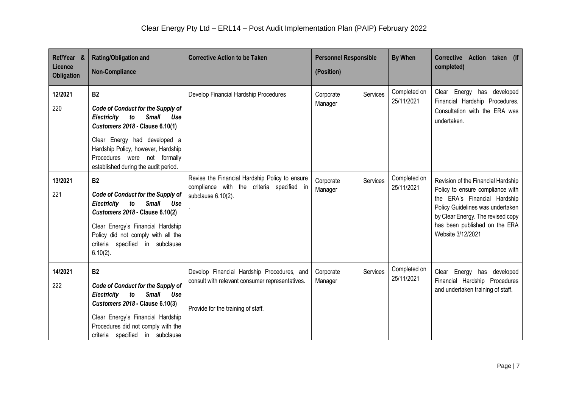| Ref/Year &<br>Licence<br>Obligation | <b>Rating/Obligation and</b><br><b>Non-Compliance</b>                                                                                                                                                                                                                                     | <b>Corrective Action to be Taken</b>                                                                                                | <b>Personnel Responsible</b><br>(Position) | <b>By When</b>             | <b>Corrective</b><br>Action taken (if<br>completed)                                                                                                                                                                                   |
|-------------------------------------|-------------------------------------------------------------------------------------------------------------------------------------------------------------------------------------------------------------------------------------------------------------------------------------------|-------------------------------------------------------------------------------------------------------------------------------------|--------------------------------------------|----------------------------|---------------------------------------------------------------------------------------------------------------------------------------------------------------------------------------------------------------------------------------|
| 12/2021<br>220                      | <b>B2</b><br><b>Code of Conduct for the Supply of</b><br>Electricity<br>to<br><b>Small</b><br>Use<br><b>Customers 2018 - Clause 6.10(1)</b><br>Clear Energy had developed a<br>Hardship Policy, however, Hardship<br>Procedures were not formally<br>established during the audit period. | Develop Financial Hardship Procedures                                                                                               | Services<br>Corporate<br>Manager           | Completed on<br>25/11/2021 | Clear Energy has developed<br>Financial Hardship Procedures.<br>Consultation with the ERA was<br>undertaken.                                                                                                                          |
| 13/2021<br>221                      | <b>B2</b><br>Code of Conduct for the Supply of<br>Electricity to<br><b>Small</b><br>Use<br><b>Customers 2018 - Clause 6.10(2)</b><br>Clear Energy's Financial Hardship<br>Policy did not comply with all the<br>criteria specified in subclause<br>$6.10(2)$ .                            | Revise the Financial Hardship Policy to ensure<br>compliance with the criteria specified in<br>subclause 6.10(2).                   | Services<br>Corporate<br>Manager           | Completed on<br>25/11/2021 | Revision of the Financial Hardship<br>Policy to ensure compliance with<br>the ERA's Financial Hardship<br>Policy Guidelines was undertaken<br>by Clear Energy. The revised copy<br>has been published on the ERA<br>Website 3/12/2021 |
| 14/2021<br>222                      | <b>B2</b><br>Code of Conduct for the Supply of<br><b>Small</b><br>Electricity<br>to<br>Use<br><b>Customers 2018 - Clause 6.10(3)</b><br>Clear Energy's Financial Hardship<br>Procedures did not comply with the<br>criteria specified in subclause                                        | Develop Financial Hardship Procedures, and<br>consult with relevant consumer representatives.<br>Provide for the training of staff. | Corporate<br>Services<br>Manager           | Completed on<br>25/11/2021 | Clear Energy has developed<br>Financial Hardship Procedures<br>and undertaken training of staff.                                                                                                                                      |